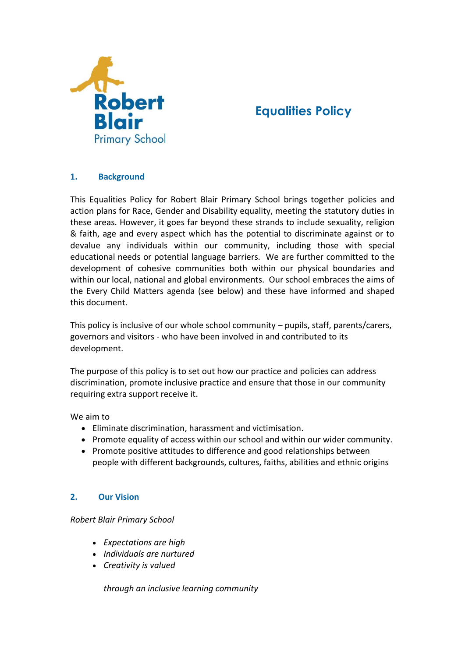

# **Equalities Policy**

## **1. Background**

This Equalities Policy for Robert Blair Primary School brings together policies and action plans for Race, Gender and Disability equality, meeting the statutory duties in these areas. However, it goes far beyond these strands to include sexuality, religion & faith, age and every aspect which has the potential to discriminate against or to devalue any individuals within our community, including those with special educational needs or potential language barriers. We are further committed to the development of cohesive communities both within our physical boundaries and within our local, national and global environments. Our school embraces the aims of the Every Child Matters agenda (see below) and these have informed and shaped this document.

This policy is inclusive of our whole school community – pupils, staff, parents/carers, governors and visitors - who have been involved in and contributed to its development.

The purpose of this policy is to set out how our practice and policies can address discrimination, promote inclusive practice and ensure that those in our community requiring extra support receive it.

We aim to

- Eliminate discrimination, harassment and victimisation.
- Promote equality of access within our school and within our wider community.
- Promote positive attitudes to difference and good relationships between people with different backgrounds, cultures, faiths, abilities and ethnic origins

## **2. Our Vision**

#### *Robert Blair Primary School*

- *Expectations are high*
- *Individuals are nurtured*
- *Creativity is valued*

*through an inclusive learning community*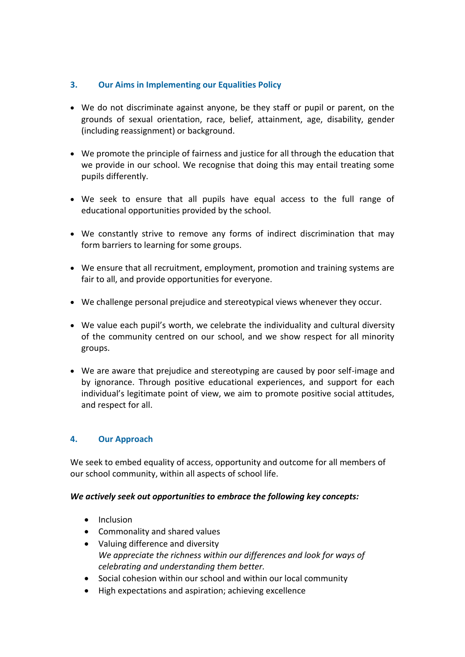## **3. Our Aims in Implementing our Equalities Policy**

- We do not discriminate against anyone, be they staff or pupil or parent, on the grounds of sexual orientation, race, belief, attainment, age, disability, gender (including reassignment) or background.
- We promote the principle of fairness and justice for all through the education that we provide in our school. We recognise that doing this may entail treating some pupils differently.
- We seek to ensure that all pupils have equal access to the full range of educational opportunities provided by the school.
- We constantly strive to remove any forms of indirect discrimination that may form barriers to learning for some groups.
- We ensure that all recruitment, employment, promotion and training systems are fair to all, and provide opportunities for everyone.
- We challenge personal prejudice and stereotypical views whenever they occur.
- We value each pupil's worth, we celebrate the individuality and cultural diversity of the community centred on our school, and we show respect for all minority groups.
- We are aware that prejudice and stereotyping are caused by poor self-image and by ignorance. Through positive educational experiences, and support for each individual's legitimate point of view, we aim to promote positive social attitudes, and respect for all.

## **4. Our Approach**

We seek to embed equality of access, opportunity and outcome for all members of our school community, within all aspects of school life.

## *We actively seek out opportunities to embrace the following key concepts:*

- Inclusion
- Commonality and shared values
- Valuing difference and diversity *We appreciate the richness within our differences and look for ways of celebrating and understanding them better.*
- Social cohesion within our school and within our local community
- High expectations and aspiration; achieving excellence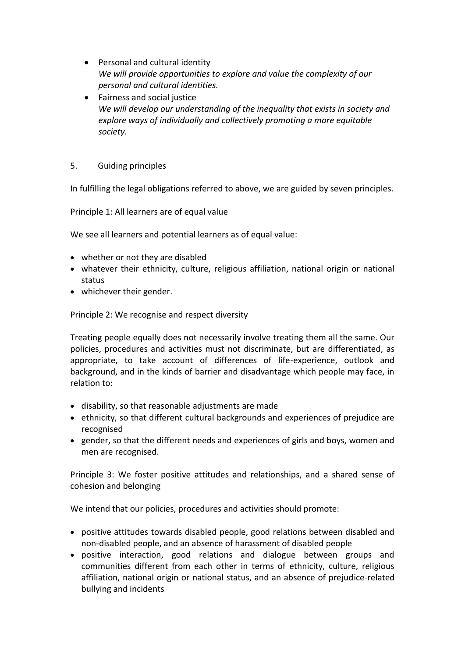- Personal and cultural identity *We will provide opportunities to explore and value the complexity of our personal and cultural identities.*
- Fairness and social justice *We will develop our understanding of the inequality that exists in society and explore ways of individually and collectively promoting a more equitable society.*

## 5. Guiding principles

In fulfilling the legal obligations referred to above, we are guided by seven principles.

Principle 1: All learners are of equal value

We see all learners and potential learners as of equal value:

- whether or not they are disabled
- whatever their ethnicity, culture, religious affiliation, national origin or national status
- whichever their gender.

Principle 2: We recognise and respect diversity

Treating people equally does not necessarily involve treating them all the same. Our policies, procedures and activities must not discriminate, but are differentiated, as appropriate, to take account of differences of life-experience, outlook and background, and in the kinds of barrier and disadvantage which people may face, in relation to:

- disability, so that reasonable adjustments are made
- ethnicity, so that different cultural backgrounds and experiences of prejudice are recognised
- gender, so that the different needs and experiences of girls and boys, women and men are recognised.

Principle 3: We foster positive attitudes and relationships, and a shared sense of cohesion and belonging

We intend that our policies, procedures and activities should promote:

- positive attitudes towards disabled people, good relations between disabled and non-disabled people, and an absence of harassment of disabled people
- positive interaction, good relations and dialogue between groups and communities different from each other in terms of ethnicity, culture, religious affiliation, national origin or national status, and an absence of prejudice-related bullying and incidents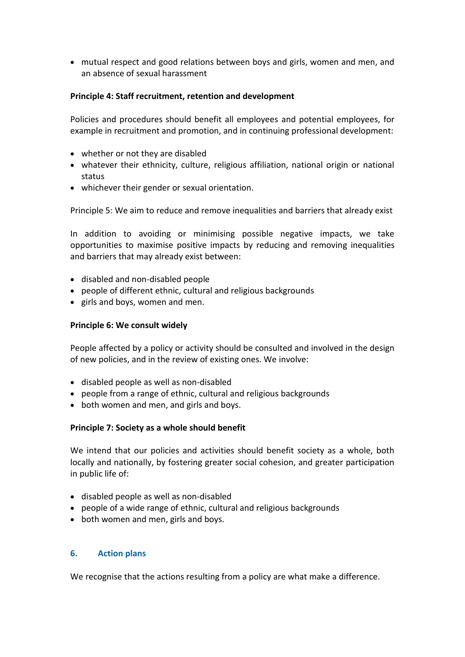mutual respect and good relations between boys and girls, women and men, and an absence of sexual harassment

#### **Principle 4: Staff recruitment, retention and development**

Policies and procedures should benefit all employees and potential employees, for example in recruitment and promotion, and in continuing professional development:

- whether or not they are disabled
- whatever their ethnicity, culture, religious affiliation, national origin or national status
- whichever their gender or sexual orientation.

Principle 5: We aim to reduce and remove inequalities and barriers that already exist

In addition to avoiding or minimising possible negative impacts, we take opportunities to maximise positive impacts by reducing and removing inequalities and barriers that may already exist between:

- disabled and non-disabled people
- people of different ethnic, cultural and religious backgrounds
- girls and boys, women and men.

#### **Principle 6: We consult widely**

People affected by a policy or activity should be consulted and involved in the design of new policies, and in the review of existing ones. We involve:

- disabled people as well as non-disabled
- people from a range of ethnic, cultural and religious backgrounds
- both women and men, and girls and boys.

#### **Principle 7: Society as a whole should benefit**

We intend that our policies and activities should benefit society as a whole, both locally and nationally, by fostering greater social cohesion, and greater participation in public life of:

- disabled people as well as non-disabled
- people of a wide range of ethnic, cultural and religious backgrounds
- both women and men, girls and boys.

#### **6. Action plans**

We recognise that the actions resulting from a policy are what make a difference.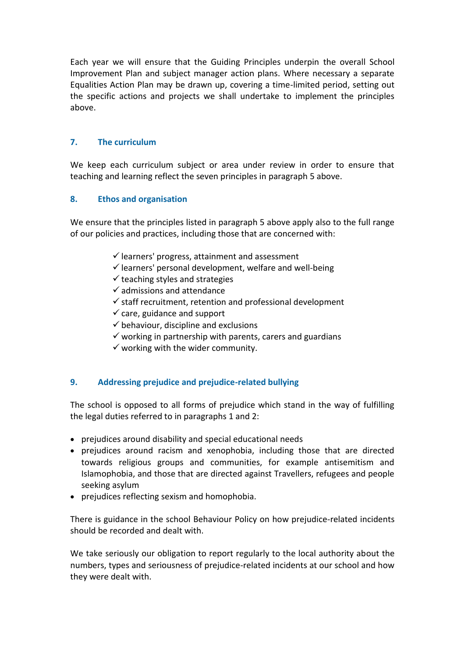Each year we will ensure that the Guiding Principles underpin the overall School Improvement Plan and subject manager action plans. Where necessary a separate Equalities Action Plan may be drawn up, covering a time-limited period, setting out the specific actions and projects we shall undertake to implement the principles above.

### **7. The curriculum**

We keep each curriculum subject or area under review in order to ensure that teaching and learning reflect the seven principles in paragraph 5 above.

#### **8. Ethos and organisation**

We ensure that the principles listed in paragraph 5 above apply also to the full range of our policies and practices, including those that are concerned with:

- $\checkmark$  learners' progress, attainment and assessment
- $\checkmark$  learners' personal development, welfare and well-being
- $\checkmark$  teaching styles and strategies
- $\checkmark$  admissions and attendance
- $\checkmark$  staff recruitment, retention and professional development
- $\checkmark$  care, guidance and support
- $\checkmark$  behaviour, discipline and exclusions
- $\checkmark$  working in partnership with parents, carers and guardians
- $\checkmark$  working with the wider community.

#### **9. Addressing prejudice and prejudice-related bullying**

The school is opposed to all forms of prejudice which stand in the way of fulfilling the legal duties referred to in paragraphs 1 and 2:

- prejudices around disability and special educational needs
- prejudices around racism and xenophobia, including those that are directed towards religious groups and communities, for example antisemitism and Islamophobia, and those that are directed against Travellers, refugees and people seeking asylum
- prejudices reflecting sexism and homophobia.

There is guidance in the school Behaviour Policy on how prejudice-related incidents should be recorded and dealt with.

We take seriously our obligation to report regularly to the local authority about the numbers, types and seriousness of prejudice-related incidents at our school and how they were dealt with.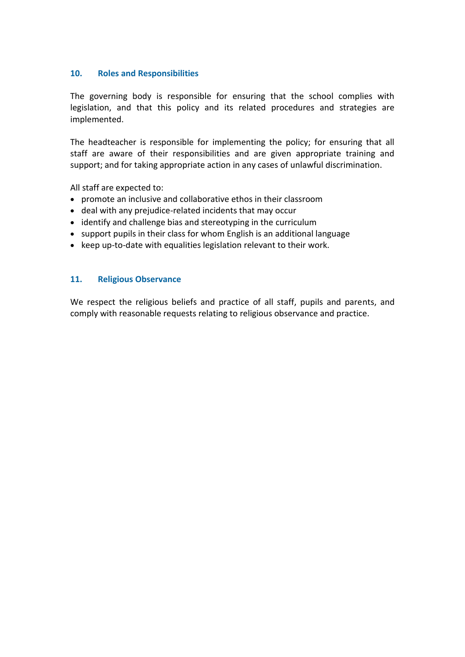#### **10. Roles and Responsibilities**

The governing body is responsible for ensuring that the school complies with legislation, and that this policy and its related procedures and strategies are implemented.

The headteacher is responsible for implementing the policy; for ensuring that all staff are aware of their responsibilities and are given appropriate training and support; and for taking appropriate action in any cases of unlawful discrimination.

All staff are expected to:

- promote an inclusive and collaborative ethos in their classroom
- deal with any prejudice-related incidents that may occur
- identify and challenge bias and stereotyping in the curriculum
- support pupils in their class for whom English is an additional language
- keep up-to-date with equalities legislation relevant to their work.

#### **11. Religious Observance**

We respect the religious beliefs and practice of all staff, pupils and parents, and comply with reasonable requests relating to religious observance and practice.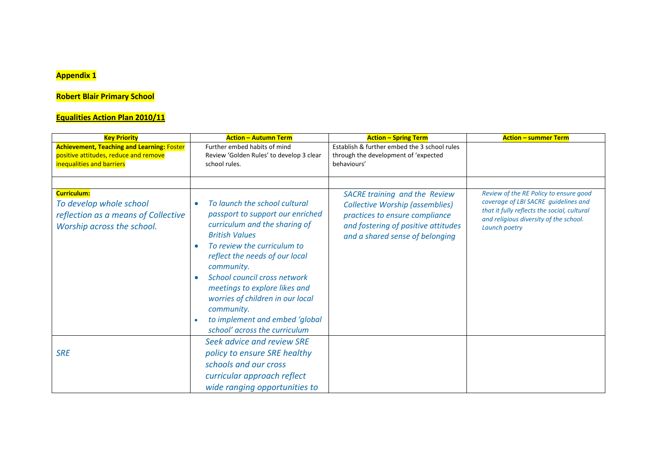## **Appendix 1**

## **Robert Blair Primary School**

## **Equalities Action Plan 2010/11**

| <b>Key Priority</b>                               | <b>Action - Autumn Term</b>                 | <b>Action - Spring Term</b>                  | <b>Action - summer Term</b>                                                                                                   |
|---------------------------------------------------|---------------------------------------------|----------------------------------------------|-------------------------------------------------------------------------------------------------------------------------------|
| <b>Achievement, Teaching and Learning: Foster</b> | Further embed habits of mind                | Establish & further embed the 3 school rules |                                                                                                                               |
| positive attitudes, reduce and remove             | Review 'Golden Rules' to develop 3 clear    | through the development of 'expected         |                                                                                                                               |
| inequalities and barriers                         | school rules.                               | behaviours'                                  |                                                                                                                               |
|                                                   |                                             |                                              |                                                                                                                               |
|                                                   |                                             |                                              |                                                                                                                               |
| Curriculum:                                       |                                             | <b>SACRE training and the Review</b>         | Review of the RE Policy to ensure good                                                                                        |
| To develop whole school                           | To launch the school cultural<br>$\bullet$  | <b>Collective Worship (assemblies)</b>       | coverage of LBI SACRE quidelines and<br>that it fully reflects the social, cultural<br>and religious diversity of the school. |
| reflection as a means of Collective               | passport to support our enriched            | practices to ensure compliance               |                                                                                                                               |
| Worship across the school.                        | curriculum and the sharing of               | and fostering of positive attitudes          | Launch poetry                                                                                                                 |
|                                                   | <b>British Values</b>                       | and a shared sense of belonging              |                                                                                                                               |
|                                                   | To review the curriculum to<br>٠            |                                              |                                                                                                                               |
|                                                   | reflect the needs of our local              |                                              |                                                                                                                               |
|                                                   | community.                                  |                                              |                                                                                                                               |
|                                                   | School council cross network<br>$\bullet$   |                                              |                                                                                                                               |
|                                                   | meetings to explore likes and               |                                              |                                                                                                                               |
|                                                   | worries of children in our local            |                                              |                                                                                                                               |
|                                                   | community.                                  |                                              |                                                                                                                               |
|                                                   | to implement and embed 'global<br>$\bullet$ |                                              |                                                                                                                               |
|                                                   | school' across the curriculum               |                                              |                                                                                                                               |
|                                                   | Seek advice and review SRE                  |                                              |                                                                                                                               |
|                                                   |                                             |                                              |                                                                                                                               |
| <b>SRE</b>                                        | policy to ensure SRE healthy                |                                              |                                                                                                                               |
|                                                   | schools and our cross                       |                                              |                                                                                                                               |
|                                                   | curricular approach reflect                 |                                              |                                                                                                                               |
|                                                   | wide ranging opportunities to               |                                              |                                                                                                                               |